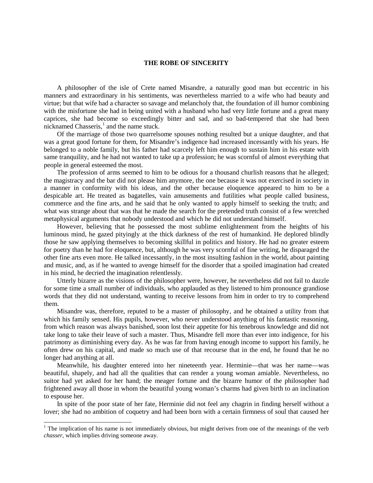## **THE ROBE OF SINCERITY**

A philosopher of the isle of Crete named Misandre, a naturally good man but eccentric in his manners and extraordinary in his sentiments, was nevertheless married to a wife who had beauty and virtue; but that wife had a character so savage and melancholy that, the foundation of ill humor combining with the misfortune she had in being united with a husband who had very little fortune and a great many caprices, she had become so exceedingly bitter and sad, and so bad-tempered that she had been nicknamed Chasseris, $<sup>1</sup>$  $<sup>1</sup>$  $<sup>1</sup>$  and the name stuck.</sup>

Of the marriage of those two quarrelsome spouses nothing resulted but a unique daughter, and that was a great good fortune for them, for Misandre's indigence had increased incessantly with his years. He belonged to a noble family, but his father had scarcely left him enough to sustain him in his estate with same tranquility, and he had not wanted to take up a profession; he was scornful of almost everything that people in general esteemed the most.

The profession of arms seemed to him to be odious for a thousand churlish reasons that he alleged; the magistracy and the bar did not please him anymore, the one because it was not exercised in society in a manner in conformity with his ideas, and the other because eloquence appeared to him to be a despicable art. He treated as bagatelles, vain amusements and futilities what people called business, commerce and the fine arts, and he said that he only wanted to apply himself to seeking the truth; and what was strange about that was that he made the search for the pretended truth consist of a few wretched metaphysical arguments that nobody understood and which he did not understand himself.

However, believing that he possessed the most sublime enlightenment from the heights of his luminous mind, he gazed pityingly at the thick darkness of the rest of humankind. He deplored blindly those he saw applying themselves to becoming skillful in politics and history. He had no greater esteem for poetry than he had for eloquence, but, although he was very scornful of fine writing, he disparaged the other fine arts even more. He talked incessantly, in the most insulting fashion in the world, about painting and music, and, as if he wanted to avenge himself for the disorder that a spoiled imagination had created in his mind, he decried the imagination relentlessly.

Utterly bizarre as the visions of the philosopher were, however, he nevertheless did not fail to dazzle for some time a small number of individuals, who applauded as they listened to him pronounce grandiose words that they did not understand, wanting to receive lessons from him in order to try to comprehend them.

Misandre was, therefore, reputed to be a master of philosophy, and he obtained a utility from that which his family sensed. His pupils, however, who never understood anything of his fantastic reasoning, from which reason was always banished, soon lost their appetite for his tenebrous knowledge and did not take long to take their leave of such a master. Thus, Misandre fell more than ever into indigence, for his patrimony as diminishing every day. As he was far from having enough income to support his family, he often drew on his capital, and made so much use of that recourse that in the end, he found that he no longer had anything at all.

Meanwhile, his daughter entered into her nineteenth year. Herminie—that was her name—was beautiful, shapely, and had all the qualities that can render a young woman amiable. Nevertheless, no suitor had yet asked for her hand; the meager fortune and the bizarre humor of the philosopher had frightened away all those in whom the beautiful young woman's charms had given birth to an inclination to espouse her.

In spite of the poor state of her fate, Herminie did not feel any chagrin in finding herself without a lover; she had no ambition of coquetry and had been born with a certain firmness of soul that caused her

<span id="page-0-0"></span> $1$  The implication of his name is not immediately obvious, but might derives from one of the meanings of the verb *chasser*, which implies driving someone away.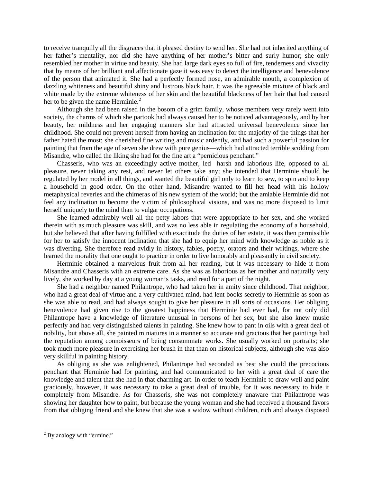to receive tranquilly all the disgraces that it pleased destiny to send her. She had not inherited anything of her father's mentality, nor did she have anything of her mother's bitter and surly humor; she only resembled her mother in virtue and beauty. She had large dark eyes so full of fire, tenderness and vivacity that by means of her brilliant and affectionate gaze it was easy to detect the intelligence and benevolence of the person that animated it. She had a perfectly formed nose, an admirable mouth, a complexion of dazzling whiteness and beautiful shiny and lustrous black hair. It was the agreeable mixture of black and white made by the extreme whiteness of her skin and the beautiful blackness of her hair that had caused her to be given the name Herminie. $<sup>2</sup>$  $<sup>2</sup>$  $<sup>2</sup>$ </sup>

Although she had been raised in the bosom of a grim family, whose members very rarely went into society, the charms of which she partook had always caused her to be noticed advantageously, and by her beauty, her mildness and her engaging manners she had attracted universal benevolence since her childhood. She could not prevent herself from having an inclination for the majority of the things that her father hated the most; she cherished fine writing and music ardently, and had such a powerful passion for painting that from the age of seven she drew with pure genius—which had attracted terrible scolding from Misandre, who called the liking she had for the fine art a "pernicious penchant."

Chasseris, who was an exceedingly active mother, led harsh and laborious life, opposed to all pleasure, never taking any rest, and never let others take any; she intended that Herminie should be regulated by her model in all things, and wanted the beautiful girl only to learn to sew, to spin and to keep a household in good order. On the other hand, Misandre wanted to fill her head with his hollow metaphysical reveries and the chimeras of his new system of the world; but the amiable Herminie did not feel any inclination to become the victim of philosophical visions, and was no more disposed to limit herself uniquely to the mind than to vulgar occupations.

She learned admirably well all the petty labors that were appropriate to her sex, and she worked therein with as much pleasure was skill, and was no less able in regulating the economy of a household, but she believed that after having fulfilled with exactitude the duties of her estate, it was then permissible for her to satisfy the innocent inclination that she had to equip her mind with knowledge as noble as it was diverting. She therefore read avidly in history, fables, poetry, orators and their writings, where she learned the morality that one ought to practice in order to live honorably and pleasantly in civil society.

Herminie obtained a marvelous fruit from all her reading, but it was necessary to hide it from Misandre and Chasseris with an extreme care. As she was as laborious as her mother and naturally very lively, she worked by day at a young woman's tasks, and read for a part of the night.

She had a neighbor named Philantrope, who had taken her in amity since childhood. That neighbor, who had a great deal of virtue and a very cultivated mind, had lent books secretly to Herminie as soon as she was able to read, and had always sought to give her pleasure in all sorts of occasions. Her obliging benevolence had given rise to the greatest happiness that Herminie had ever had, for not only did Philantrope have a knowledge of literature unusual in persons of her sex, but she also knew music perfectly and had very distinguished talents in painting. She knew how to pant in oils with a great deal of nobility, but above all, she painted miniatures in a manner so accurate and gracious that her paintings had the reputation among connoisseurs of being consummate works. She usually worked on portraits; she took much more pleasure in exercising her brush in that than on historical subjects, although she was also very skillful in painting history.

As obliging as she was enlightened, Philantrope had seconded as best she could the precocious penchant that Herminie had for painting, and had communicated to her with a great deal of care the knowledge and talent that she had in that charming art. In order to teach Herminie to draw well and paint graciously, however, it was necessary to take a great deal of trouble, for it was necessary to hide it completely from Misandre. As for Chasseris, she was not completely unaware that Philantrope was showing her daughter how to paint, but because the young woman and she had received a thousand favors from that obliging friend and she knew that she was a widow without children, rich and always disposed

<span id="page-1-0"></span> $2$  By analogy with "ermine."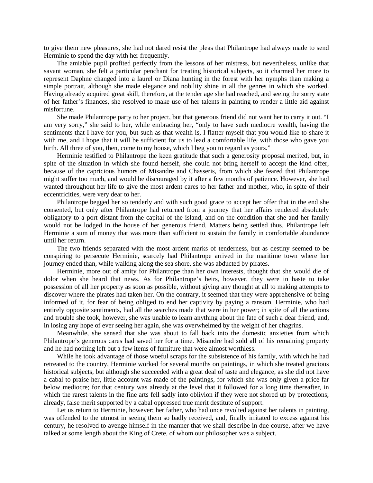to give them new pleasures, she had not dared resist the pleas that Philantrope had always made to send Herminie to spend the day with her frequently.

The amiable pupil profited perfectly from the lessons of her mistress, but nevertheless, unlike that savant woman, she felt a particular penchant for treating historical subjects, so it charmed her more to represent Daphne changed into a laurel or Diana hunting in the forest with her nymphs than making a simple portrait, although she made elegance and nobility shine in all the genres in which she worked. Having already acquired great skill, therefore, at the tender age she had reached, and seeing the sorry state of her father's finances, she resolved to make use of her talents in painting to render a little aid against misfortune.

She made Philantrope party to her project, but that generous friend did not want her to carry it out. "I am very sorry," she said to her, while embracing her, "only to have such mediocre wealth, having the sentiments that I have for you, but such as that wealth is, I flatter myself that you would like to share it with me, and I hope that it will be sufficient for us to lead a comfortable life, with those who gave you birth. All three of you, then, come to my house, which I beg you to regard as yours."

Herminie testified to Philantrope the keen gratitude that such a generosity proposal merited, but, in spite of the situation in which she found herself, she could not bring herself to accept the kind offer, because of the capricious humors of Misandre and Chasseris, from which she feared that Philantrope might suffer too much, and would be discouraged by it after a few months of patience. However, she had wanted throughout her life to give the most ardent cares to her father and mother, who, in spite of their eccentricities, were very dear to her.

Philantrope begged her so tenderly and with such good grace to accept her offer that in the end she consented, but only after Philantrope had returned from a journey that her affairs rendered absolutely obligatory to a port distant from the capital of the island, and on the condition that she and her family would not be lodged in the house of her generous friend. Matters being settled thus, Philantrope left Herminie a sum of money that was more than sufficient to sustain the family in comfortable abundance until her return.

The two friends separated with the most ardent marks of tenderness, but as destiny seemed to be conspiring to persecute Herminie, scarcely had Philantrope arrived in the maritime town where her journey ended than, while walking along the sea shore, she was abducted by pirates.

Herminie, more out of amity for Philantrope than her own interests, thought that she would die of dolor when she heard that news. As for Philantrope's heirs, however, they were in haste to take possession of all her property as soon as possible, without giving any thought at all to making attempts to discover where the pirates had taken her. On the contrary, it seemed that they were apprehensive of being informed of it, for fear of being obliged to end her captivity by paying a ransom. Herminie, who had entirely opposite sentiments, had all the searches made that were in her power; in spite of all the actions and trouble she took, however, she was unable to learn anything about the fate of such a dear friend, and, in losing any hope of ever seeing her again, she was overwhelmed by the weight of her chagrins.

Meanwhile, she sensed that she was about to fall back into the domestic anxieties from which Philantrope's generous cares had saved her for a time. Misandre had sold all of his remaining property and he had nothing left but a few items of furniture that were almost worthless.

While he took advantage of those woeful scraps for the subsistence of his family, with which he had retreated to the country, Herminie worked for several months on paintings, in which she treated gracious historical subjects, but although she succeeded with a great deal of taste and elegance, as she did not have a cabal to praise her, little account was made of the paintings, for which she was only given a price far below mediocre; for that century was already at the level that it followed for a long time thereafter, in which the rarest talents in the fine arts fell sadly into oblivion if they were not shored up by protections; already, false merit supported by a cabal oppressed true merit destitute of support.

Let us return to Herminie, however; her father, who had once revolted against her talents in painting, was offended to the utmost in seeing them so badly received, and, finally irritated to excess against his century, he resolved to avenge himself in the manner that we shall describe in due course, after we have talked at some length about the King of Crete, of whom our philosopher was a subject.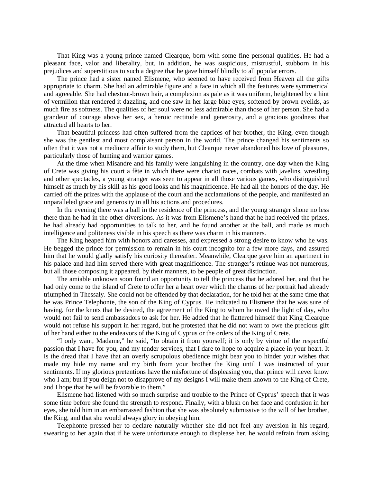That King was a young prince named Clearque, born with some fine personal qualities. He had a pleasant face, valor and liberality, but, in addition, he was suspicious, mistrustful, stubborn in his prejudices and superstitious to such a degree that he gave himself blindly to all popular errors.

The prince had a sister named Elismene, who seemed to have received from Heaven all the gifts appropriate to charm. She had an admirable figure and a face in which all the features were symmetrical and agreeable. She had chestnut-brown hair, a complexion as pale as it was uniform, heightened by a hint of vermilion that rendered it dazzling, and one saw in her large blue eyes, softened by brown eyelids, as much fire as softness. The qualities of her soul were no less admirable than those of her person. She had a grandeur of courage above her sex, a heroic rectitude and generosity, and a gracious goodness that attracted all hearts to her.

That beautiful princess had often suffered from the caprices of her brother, the King, even though she was the gentlest and most complaisant person in the world. The prince changed his sentiments so often that it was not a mediocre affair to study them, but Clearque never abandoned his love of pleasures, particularly those of hunting and warrior games.

At the time when Misandre and his family were languishing in the country, one day when the King of Crete was giving his court a fête in which there were chariot races, combats with javelins, wrestling and other spectacles, a young stranger was seen to appear in all those various games, who distinguished himself as much by his skill as his good looks and his magnificence. He had all the honors of the day. He carried off the prizes with the applause of the court and the acclamations of the people, and manifested an unparalleled grace and generosity in all his actions and procedures.

In the evening there was a ball in the residence of the princess, and the young stranger shone no less there than he had in the other diversions. As it was from Elismene's hand that he had received the prizes, he had already had opportunities to talk to her, and he found another at the ball, and made as much intelligence and politeness visible in his speech as there was charm in his manners.

The King heaped him with honors and caresses, and expressed a strong desire to know who he was. He begged the prince for permission to remain in his court incognito for a few more days, and assured him that he would gladly satisfy his curiosity thereafter. Meanwhile, Clearque gave him an apartment in his palace and had him served there with great magnificence. The stranger's retinue was not numerous, but all those composing it appeared, by their manners, to be people of great distinction.

The amiable unknown soon found an opportunity to tell the princess that he adored her, and that he had only come to the island of Crete to offer her a heart over which the charms of her portrait had already triumphed in Thessaly. She could not be offended by that declaration, for he told her at the same time that he was Prince Telephonte, the son of the King of Cyprus. He indicated to Elismene that he was sure of having, for the knots that he desired, the agreement of the King to whom he owed the light of day, who would not fail to send ambassadors to ask for her. He added that he flattered himself that King Clearque would not refuse his support in her regard, but he protested that he did not want to owe the precious gift of her hand either to the endeavors of the King of Cyprus or the orders of the King of Crete.

"I only want, Madame," he said, "to obtain it from yourself; it is only by virtue of the respectful passion that I have for you, and my tender services, that I dare to hope to acquire a place in your heart. It is the dread that I have that an overly scrupulous obedience might bear you to hinder your wishes that made my hide my name and my birth from your brother the King until I was instructed of your sentiments. If my glorious pretentions have the misfortune of displeasing you, that prince will never know who I am; but if you deign not to disapprove of my designs I will make them known to the King of Crete, and I hope that he will be favorable to them."

Elismene had listened with so much surprise and trouble to the Prince of Cyprus' speech that it was some time before she found the strength to respond. Finally, with a blush on her face and confusion in her eyes, she told him in an embarrassed fashion that she was absolutely submissive to the will of her brother, the King, and that she would always glory in obeying him.

Telephonte pressed her to declare naturally whether she did not feel any aversion in his regard, swearing to her again that if he were unfortunate enough to displease her, he would refrain from asking